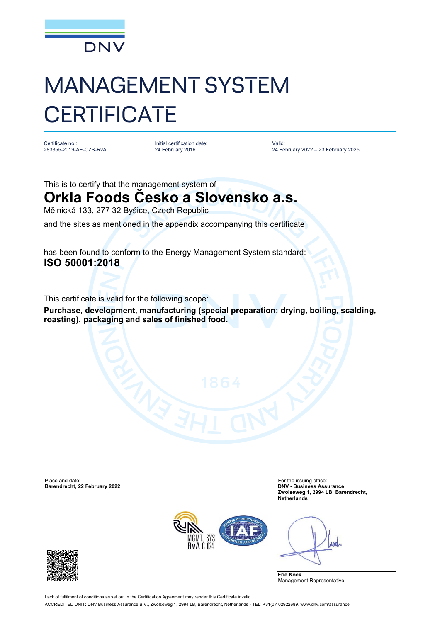

## MANAGEMENT SYSTEM **CERTIFICATE**

Certificate no.: 283355-2019-AE-CZS-RvA Initial certification date: 24 February 2016

Valid: 24 February 2022 – 23 February 2025

This is to certify that the management system of

## **Orkla Foods Česko a Slovensko a.s.**

Mělnická 133, 277 32 Byšice, Czech Republic

and the sites as mentioned in the appendix accompanying this certificate

has been found to conform to the Energy Management System standard: **ISO 50001:2018**

This certificate is valid for the following scope:

**Purchase, development, manufacturing (special preparation: drying, boiling, scalding, roasting), packaging and sales of finished food.**

Place and date: For the issuing office: For the issuing office: **Barendrecht, 22 February 2022** 

**Zwolseweg 1, 2994 LB Barendrecht, Netherlands**



Anel

**Erie Koek** Management Representative



Lack of fulfilment of conditions as set out in the Certification Agreement may render this Certificate invalid. ACCREDITED UNIT: DNV Business Assurance B.V., Zwolseweg 1, 2994 LB, Barendrecht, Netherlands - TEL: +31(0)102922689. [www.dnv.com/assurance](http://www.dnv.com/assurance)